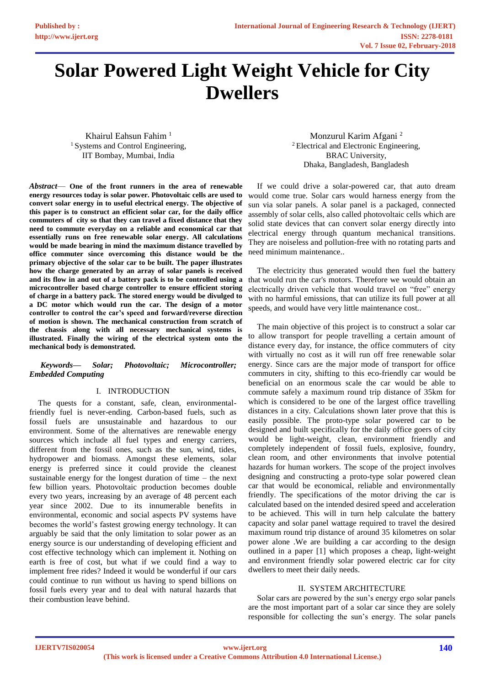# **Solar Powered Light Weight Vehicle for City Dwellers**

Khairul Eahsun Fahim <sup>1</sup> <sup>1</sup> Systems and Control Engineering, IIT Bombay, Mumbai, India

*Abstract*— **One of the front runners in the area of renewable energy resources today is solar power. Photovoltaic cells are used to convert solar energy in to useful electrical energy. The objective of this paper is to construct an efficient solar car, for the daily office commuters of city so that they can travel a fixed distance that they need to commute everyday on a reliable and economical car that essentially runs on free renewable solar energy. All calculations would be made bearing in mind the maximum distance travelled by office commuter since overcoming this distance would be the primary objective of the solar car to be built. The paper illustrates how the charge generated by an array of solar panels is received and its flow in and out of a battery pack is to be controlled using a microcontroller based charge controller to ensure efficient storing of charge in a battery pack. The stored energy would be divulged to a DC motor which would run the car. The design of a motor controller to control the car's speed and forward/reverse direction of motion is shown. The mechanical construction from scratch of the chassis along with all necessary mechanical systems is illustrated. Finally the wiring of the electrical system onto the mechanical body is demonstrated.**

## *Keywords— Solar; Photovoltaic; Microcontroller; Embedded Computing*

## I. INTRODUCTION

The quests for a constant, safe, clean, environmentalfriendly fuel is never-ending. Carbon-based fuels, such as fossil fuels are unsustainable and hazardous to our environment. Some of the alternatives are renewable energy sources which include all fuel types and energy carriers, different from the fossil ones, such as the sun, wind, tides, hydropower and biomass. Amongst these elements, solar energy is preferred since it could provide the cleanest sustainable energy for the longest duration of time – the next few billion years. Photovoltaic production becomes double every two years, increasing by an average of 48 percent each year since 2002. Due to its innumerable benefits in environmental, economic and social aspects PV systems have becomes the world's fastest growing energy technology. It can arguably be said that the only limitation to solar power as an energy source is our understanding of developing efficient and cost effective technology which can implement it. Nothing on earth is free of cost, but what if we could find a way to implement free rides? Indeed it would be wonderful if our cars could continue to run without us having to spend billions on fossil fuels every year and to deal with natural hazards that their combustion leave behind.

Monzurul Karim Afgani <sup>2</sup> <sup>2</sup> Electrical and Electronic Engineering, BRAC University, Dhaka, Bangladesh, Bangladesh

If we could drive a solar-powered car, that auto dream would come true. Solar cars would harness energy from the sun via solar panels. A solar panel is a packaged, connected assembly of solar cells, also called photovoltaic cells which are solid state devices that can convert solar energy directly into electrical energy through quantum mechanical transitions. They are noiseless and pollution-free with no rotating parts and need minimum maintenance..

The electricity thus generated would then fuel the battery that would run the car's motors. Therefore we would obtain an electrically driven vehicle that would travel on "free" energy with no harmful emissions, that can utilize its full power at all speeds, and would have very little maintenance cost..

The main objective of this project is to construct a solar car to allow transport for people travelling a certain amount of distance every day, for instance, the office commuters of city with virtually no cost as it will run off free renewable solar energy. Since cars are the major mode of transport for office commuters in city, shifting to this eco-friendly car would be beneficial on an enormous scale the car would be able to commute safely a maximum round trip distance of 35km for which is considered to be one of the largest office travelling distances in a city. Calculations shown later prove that this is easily possible. The proto-type solar powered car to be designed and built specifically for the daily office goers of city would be light-weight, clean, environment friendly and completely independent of fossil fuels, explosive, foundry, clean room, and other environments that involve potential hazards for human workers. The scope of the project involves designing and constructing a proto-type solar powered clean car that would be economical, reliable and environmentally friendly. The specifications of the motor driving the car is calculated based on the intended desired speed and acceleration to be achieved. This will in turn help calculate the battery capacity and solar panel wattage required to travel the desired maximum round trip distance of around 35 kilometres on solar power alone .We are building a car according to the design outlined in a paper [1] which proposes a cheap, light-weight and environment friendly solar powered electric car for city dwellers to meet their daily needs.

## II. SYSTEM ARCHITECTURE

Solar cars are powered by the sun's energy ergo solar panels are the most important part of a solar car since they are solely responsible for collecting the sun's energy. The solar panels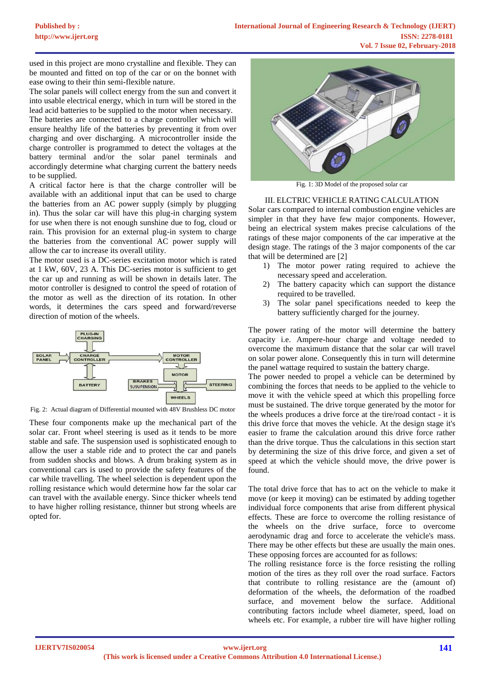used in this project are mono crystalline and flexible. They can be mounted and fitted on top of the car or on the bonnet with ease owing to their thin semi-flexible nature.

The solar panels will collect energy from the sun and convert it into usable electrical energy, which in turn will be stored in the lead acid batteries to be supplied to the motor when necessary.

The batteries are connected to a charge controller which will ensure healthy life of the batteries by preventing it from over charging and over discharging. A microcontroller inside the charge controller is programmed to detect the voltages at the battery terminal and/or the solar panel terminals and accordingly determine what charging current the battery needs to be supplied.

A critical factor here is that the charge controller will be available with an additional input that can be used to charge the batteries from an AC power supply (simply by plugging in). Thus the solar car will have this plug-in charging system for use when there is not enough sunshine due to fog, cloud or rain. This provision for an external plug-in system to charge the batteries from the conventional AC power supply will allow the car to increase its overall utility.

The motor used is a DC-series excitation motor which is rated at 1 kW, 60V, 23 A. This DC-series motor is sufficient to get the car up and running as will be shown in details later. The motor controller is designed to control the speed of rotation of the motor as well as the direction of its rotation. In other words, it determines the cars speed and forward/reverse direction of motion of the wheels.



Fig. 2: Actual diagram of Differential mounted with 48V Brushless DC motor

These four components make up the mechanical part of the solar car. Front wheel steering is used as it tends to be more stable and safe. The suspension used is sophisticated enough to allow the user a stable ride and to protect the car and panels from sudden shocks and blows. A drum braking system as in conventional cars is used to provide the safety features of the car while travelling. The wheel selection is dependent upon the rolling resistance which would determine how far the solar car can travel with the available energy. Since thicker wheels tend to have higher rolling resistance, thinner but strong wheels are opted for.



Fig. 1: 3D Model of the proposed solar car

## III. ELCTRIC VEHICLE RATING CALCULATION

Solar cars compared to internal combustion engine vehicles are simpler in that they have few major components. However, being an electrical system makes precise calculations of the ratings of these major components of the car imperative at the design stage. The ratings of the 3 major components of the car that will be determined are [2]

- 1) The motor power rating required to achieve the necessary speed and acceleration.
- 2) The battery capacity which can support the distance required to be travelled.
- 3) The solar panel specifications needed to keep the battery sufficiently charged for the journey.

The power rating of the motor will determine the battery capacity i.e. Ampere-hour charge and voltage needed to overcome the maximum distance that the solar car will travel on solar power alone. Consequently this in turn will determine the panel wattage required to sustain the battery charge.

The power needed to propel a vehicle can be determined by combining the forces that needs to be applied to the vehicle to move it with the vehicle speed at which this propelling force must be sustained. The drive torque generated by the motor for the wheels produces a drive force at the tire/road contact - it is this drive force that moves the vehicle. At the design stage it's easier to frame the calculation around this drive force rather than the drive torque. Thus the calculations in this section start by determining the size of this drive force, and given a set of speed at which the vehicle should move, the drive power is found.

The total drive force that has to act on the vehicle to make it move (or keep it moving) can be estimated by adding together individual force components that arise from different physical effects. These are force to overcome the rolling resistance of the wheels on the drive surface, force to overcome aerodynamic drag and force to accelerate the vehicle's mass. There may be other effects but these are usually the main ones. These opposing forces are accounted for as follows:

The rolling resistance force is the force resisting the rolling motion of the tires as they roll over the road surface. Factors that contribute to rolling resistance are the (amount of) deformation of the wheels, the deformation of the roadbed surface, and movement below the surface. Additional contributing factors include wheel diameter, speed, load on wheels etc. For example, a rubber tire will have higher rolling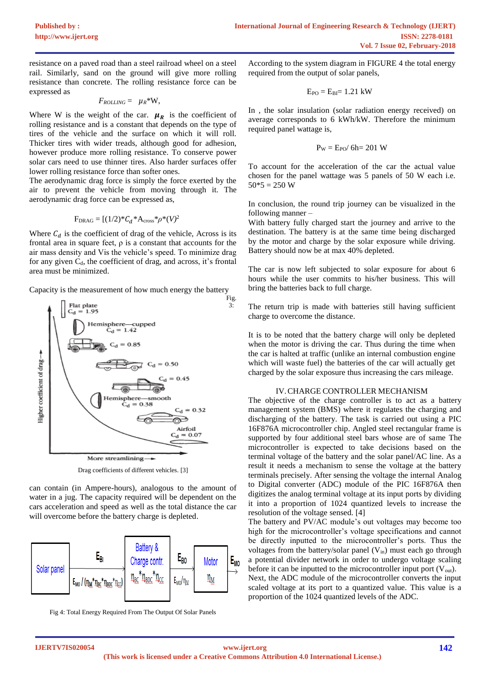resistance on a paved road than a steel railroad wheel on a steel rail. Similarly, sand on the ground will give more rolling resistance than concrete. The rolling resistance force can be expressed as

$$
F_{\text{ROLLING}} = \mu_R * W,
$$

Where W is the weight of the car.  $\mu_R$  is the coefficient of rolling resistance and is a constant that depends on the type of tires of the vehicle and the surface on which it will roll. Thicker tires with wider treads, although good for adhesion, however produce more rolling resistance. To conserve power solar cars need to use thinner tires. Also harder surfaces offer lower rolling resistance force than softer ones.

The aerodynamic drag force is simply the force exerted by the air to prevent the vehicle from moving through it. The aerodynamic drag force can be expressed as,

$$
F_{\text{DRAG}} = [(1/2)^* C_d * A_{\text{cross}} * \rho^*(V)^2]
$$

Where  $C_d$  is the coefficient of drag of the vehicle, Across is its frontal area in square feet,  $\rho$  is a constant that accounts for the air mass density and Vis the vehicle's speed. To minimize drag for any given  $C_d$ , the coefficient of drag, and across, it's frontal area must be minimized.

Capacity is the measurement of how much energy the battery



Drag coefficients of different vehicles. [3]

can contain (in Ampere-hours), analogous to the amount of water in a jug. The capacity required will be dependent on the cars acceleration and speed as well as the total distance the car will overcome before the battery charge is depleted.



Fig 4: Total Energy Required From The Output Of Solar Panels

According to the system diagram in FIGURE 4 the total energy required from the output of solar panels,

$$
E_{PO}=E_{BI}=1.21\;kW
$$

In , the solar insulation (solar radiation energy received) on average corresponds to 6 kWh/kW. Therefore the minimum required panel wattage is,

$$
P_W=E_{PO}/\text{ }6h\text{=201 W}
$$

To account for the acceleration of the car the actual value chosen for the panel wattage was 5 panels of 50 W each i.e.  $50*5 = 250$  W

In conclusion, the round trip journey can be visualized in the following manner –

With battery fully charged start the journey and arrive to the destination. The battery is at the same time being discharged by the motor and charge by the solar exposure while driving. Battery should now be at max 40% depleted.

The car is now left subjected to solar exposure for about 6 hours while the user commits to his/her business. This will bring the batteries back to full charge.

The return trip is made with batteries still having sufficient charge to overcome the distance.

It is to be noted that the battery charge will only be depleted when the motor is driving the car. Thus during the time when the car is halted at traffic (unlike an internal combustion engine which will waste fuel) the batteries of the car will actually get charged by the solar exposure thus increasing the cars mileage.

## IV.CHARGE CONTROLLER MECHANISM

The objective of the charge controller is to act as a battery management system (BMS) where it regulates the charging and discharging of the battery. The task is carried out using a PIC 16F876A microcontroller chip. Angled steel rectangular frame is supported by four additional steel bars whose are of same The microcontroller is expected to take decisions based on the terminal voltage of the battery and the solar panel/AC line. As a result it needs a mechanism to sense the voltage at the battery terminals precisely. After sensing the voltage the internal Analog to Digital converter (ADC) module of the PIC 16F876A then digitizes the analog terminal voltage at its input ports by dividing it into a proportion of 1024 quantized levels to increase the resolution of the voltage sensed. [4]

The battery and PV/AC module's out voltages may become too high for the microcontroller's voltage specifications and cannot be directly inputted to the microcontroller's ports. Thus the voltages from the battery/solar panel  $(V_{in})$  must each go through a potential divider network in order to undergo voltage scaling before it can be inputted to the microcontroller input port  $(V_{out})$ . Next, the ADC module of the microcontroller converts the input scaled voltage at its port to a quantized value. This value is a proportion of the 1024 quantized levels of the ADC.

Fig. 3: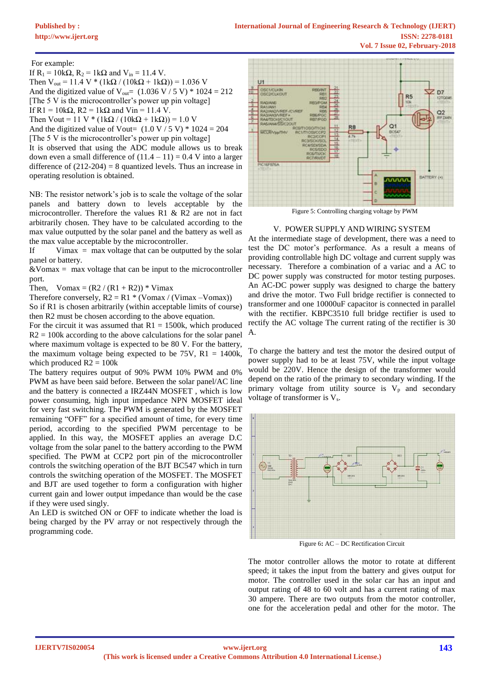For example:

If  $R_1 = 10k\Omega$ ,  $R_2 = 1k\Omega$  and  $V_{in} = 11.4$  V.

Then  $V_{out} = 11.4 V * (1k\Omega / (10k\Omega + 1k\Omega)) = 1.036 V$ And the digitized value of  $V_{\text{out}} = (1.036 \text{ V} / 5 \text{ V}) * 1024 = 212$ [The 5 V is the microcontroller's power up pin voltage] If R1 =  $10k\Omega$ , R2 =  $1k\Omega$  and Vin = 11.4 V. Then Vout = 11 V \* (1k $\Omega$  / (10k $\Omega$  + 1k $\Omega$ )) = 1.0 V

And the digitized value of Vout=  $(1.0 \text{ V} / 5 \text{ V})$  \*  $1024 = 204$ [The 5 V is the microcontroller's power up pin voltage]

It is observed that using the ADC module allows us to break down even a small difference of  $(11.4 – 11) = 0.4$  V into a larger difference of  $(212-204) = 8$  quantized levels. Thus an increase in operating resolution is obtained.

NB: The resistor network's job is to scale the voltage of the solar panels and battery down to levels acceptable by the microcontroller. Therefore the values R1 & R2 are not in fact arbitrarily chosen. They have to be calculated according to the max value outputted by the solar panel and the battery as well as the max value acceptable by the microcontroller.

If Vimax  $=$  max voltage that can be outputted by the solar panel or battery.

 $&\text{Vomax} = \text{max}$  voltage that can be input to the microcontroller port.

Then,  $Vomax = (R2 / (R1 + R2)) * Vimax$ 

Therefore conversely,  $R2 = R1 * (Vomax / (Vimax - Vomax))$ 

So if R1 is chosen arbitrarily (within acceptable limits of course) then R2 must be chosen according to the above equation.

For the circuit it was assumed that  $R1 = 1500k$ , which produced  $R2 = 100k$  according to the above calculations for the solar panel where maximum voltage is expected to be 80 V. For the battery, the maximum voltage being expected to be  $75V$ ,  $R1 = 1400k$ , which produced  $R2 = 100k$ 

The battery requires output of 90% PWM 10% PWM and 0% PWM as have been said before. Between the solar panel/AC line and the battery is connected a IRZ44N MOSFET , which is low power consuming, high input impedance NPN MOSFET ideal for very fast switching. The PWM is generated by the MOSFET remaining "OFF" for a specified amount of time, for every time period, according to the specified PWM percentage to be applied. In this way, the MOSFET applies an average D.C voltage from the solar panel to the battery according to the PWM specified. The PWM at CCP2 port pin of the microcontroller controls the switching operation of the BJT BC547 which in turn controls the switching operation of the MOSFET. The MOSFET and BJT are used together to form a configuration with higher current gain and lower output impedance than would be the case if they were used singly.

An LED is switched ON or OFF to indicate whether the load is being charged by the PV array or not respectively through the programming code.



Figure 5: Controlling charging voltage by PWM

## V. POWER SUPPLY AND WIRING SYSTEM

At the intermediate stage of development, there was a need to test the DC motor's performance. As a result a means of providing controllable high DC voltage and current supply was necessary. Therefore a combination of a variac and a AC to DC power supply was constructed for motor testing purposes. An AC-DC power supply was designed to charge the battery and drive the motor. Two Full bridge rectifier is connected to transformer and one 10000uF capacitor is connected in parallel with the rectifier. KBPC3510 full bridge rectifier is used to rectify the AC voltage The current rating of the rectifier is 30 A.

To charge the battery and test the motor the desired output of power supply had to be at least 75V, while the input voltage would be 220V. Hence the design of the transformer would depend on the ratio of the primary to secondary winding. If the primary voltage from utility source is  $V_p$  and secondary voltage of transformer is Vs.



Figure 6**:** AC – DC Rectification Circuit

The motor controller allows the motor to rotate at different speed; it takes the input from the battery and gives output for motor. The controller used in the solar car has an input and output rating of 48 to 60 volt and has a current rating of max 30 ampere. There are two outputs from the motor controller, one for the acceleration pedal and other for the motor. The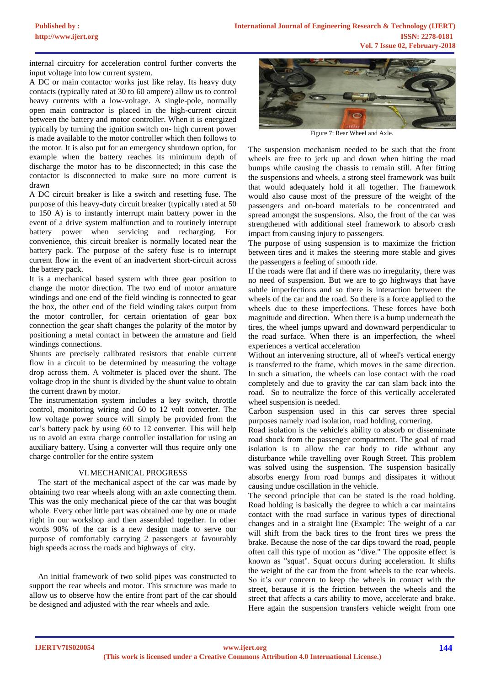internal circuitry for acceleration control further converts the input voltage into low current system.

A DC or main contactor works just like relay. Its heavy duty contacts (typically rated at 30 to 60 ampere) allow us to control heavy currents with a low-voltage. A single-pole, normally open main contractor is placed in the high-current circuit between the battery and motor controller. When it is energized typically by turning the ignition switch on- high current power is made available to the motor controller which then follows to the motor. It is also put for an emergency shutdown option, for example when the battery reaches its minimum depth of discharge the motor has to be disconnected; in this case the contactor is disconnected to make sure no more current is drawn

A DC circuit breaker is like a switch and resetting fuse. The purpose of this heavy-duty circuit breaker (typically rated at 50 to 150 A) is to instantly interrupt main battery power in the event of a drive system malfunction and to routinely interrupt battery power when servicing and recharging. For convenience, this circuit breaker is normally located near the battery pack. The purpose of the safety fuse is to interrupt current flow in the event of an inadvertent short-circuit across the battery pack.

It is a mechanical based system with three gear position to change the motor direction. The two end of motor armature windings and one end of the field winding is connected to gear the box, the other end of the field winding takes output from the motor controller, for certain orientation of gear box connection the gear shaft changes the polarity of the motor by positioning a metal contact in between the armature and field windings connections.

Shunts are precisely calibrated resistors that enable current flow in a circuit to be determined by measuring the voltage drop across them. A voltmeter is placed over the shunt. The voltage drop in the shunt is divided by the shunt value to obtain the current drawn by motor.

The instrumentation system includes a key switch, throttle control, monitoring wiring and 60 to 12 volt converter. The low voltage power source will simply be provided from the car's battery pack by using 60 to 12 converter. This will help us to avoid an extra charge controller installation for using an auxiliary battery. Using a converter will thus require only one charge controller for the entire system

## VI.MECHANICAL PROGRESS

The start of the mechanical aspect of the car was made by obtaining two rear wheels along with an axle connecting them. This was the only mechanical piece of the car that was bought whole. Every other little part was obtained one by one or made right in our workshop and then assembled together. In other words 90% of the car is a new design made to serve our purpose of comfortably carrying 2 passengers at favourably high speeds across the roads and highways of city.

An initial framework of two solid pipes was constructed to support the rear wheels and motor. This structure was made to allow us to observe how the entire front part of the car should be designed and adjusted with the rear wheels and axle.



Figure 7: Rear Wheel and Axle.

The suspension mechanism needed to be such that the front wheels are free to jerk up and down when hitting the road bumps while causing the chassis to remain still. After fitting the suspensions and wheels, a strong steel framework was built that would adequately hold it all together. The framework would also cause most of the pressure of the weight of the passengers and on-board materials to be concentrated and spread amongst the suspensions. Also, the front of the car was strengthened with additional steel framework to absorb crash impact from causing injury to passengers.

The purpose of using suspension is to maximize the friction between tires and it makes the steering more stable and gives the passengers a feeling of smooth ride.

If the roads were flat and if there was no irregularity, there was no need of suspension. But we are to go highways that have subtle imperfections and so there is interaction between the wheels of the car and the road. So there is a force applied to the wheels due to these imperfections. These forces have both magnitude and direction. When there is a bump underneath the tires, the wheel jumps upward and downward perpendicular to the road surface. When there is an imperfection, the wheel experiences a vertical acceleration

Without an intervening structure, all of wheel's vertical energy is transferred to the frame, which moves in the same direction. In such a situation, the wheels can lose contact with the road completely and due to gravity the car can slam back into the road. So to neutralize the force of this vertically accelerated wheel suspension is needed.

Carbon suspension used in this car serves three special purposes namely road isolation, road holding, cornering.

Road isolation is the vehicle's ability to absorb or disseminate road shock from the passenger compartment. The goal of road isolation is to allow the car body to ride without any disturbance while travelling over Rough Street. This problem was solved using the suspension. The suspension basically absorbs energy from road bumps and dissipates it without causing undue oscillation in the vehicle.

The second principle that can be stated is the road holding. Road holding is basically the degree to which a car maintains contact with the road surface in various types of directional changes and in a straight line (Example: The weight of a car will shift from the back tires to the front tires we press the brake. Because the nose of the car dips toward the road, people often call this type of motion as "dive." The opposite effect is known as "squat". Squat occurs during acceleration. It shifts the weight of the car from the front wheels to the rear wheels. So it's our concern to keep the wheels in contact with the street, because it is the friction between the wheels and the street that affects a cars ability to move, accelerate and brake. Here again the suspension transfers vehicle weight from one